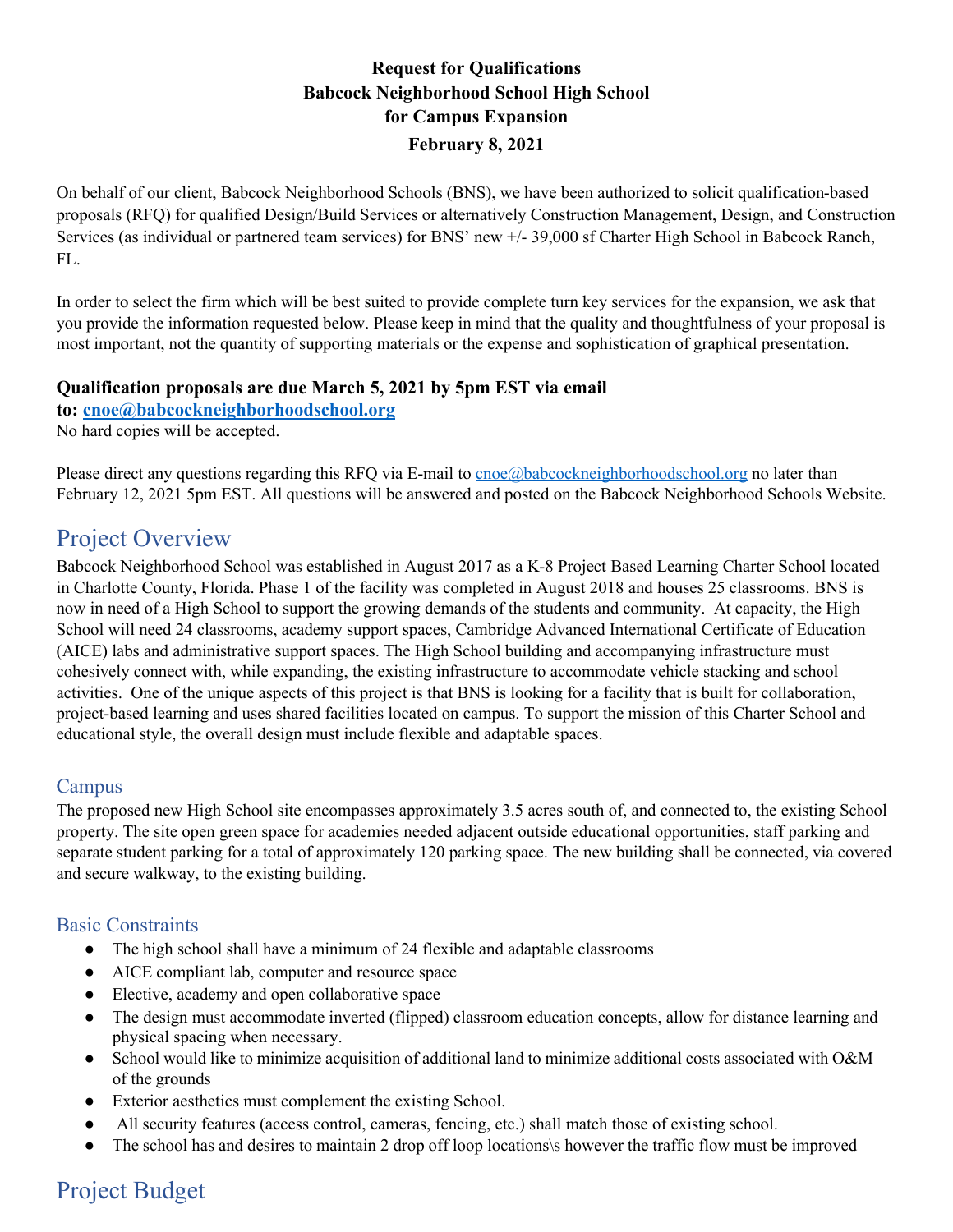## **Request for Qualifications Babcock Neighborhood School High School for Campus Expansion February 8, 2021**

On behalf of our client, Babcock Neighborhood Schools (BNS), we have been authorized to solicit qualification-based proposals (RFQ) for qualified Design/Build Services or alternatively Construction Management, Design, and Construction Services (as individual or partnered team services) for BNS' new +/- 39,000 sf Charter High School in Babcock Ranch, FL.

In order to select the firm which will be best suited to provide complete turn key services for the expansion, we ask that you provide the information requested below. Please keep in mind that the quality and thoughtfulness of your proposal is most important, not the quantity of supporting materials or the expense and sophistication of graphical presentation.

#### **Qualification proposals are due March 5, 2021 by 5pm EST via email**

**to: cnoe@babcockneighborhoodschool.org**

No hard copies will be accepted.

Please direct any questions regarding this RFQ via E-mail to cnoe@babcockneighborhoodschool.org no later than February 12, 2021 5pm EST. All questions will be answered and posted on the Babcock Neighborhood Schools Website.

## Project Overview

Babcock Neighborhood School was established in August 2017 as a K-8 Project Based Learning Charter School located in Charlotte County, Florida. Phase 1 of the facility was completed in August 2018 and houses 25 classrooms. BNS is now in need of a High School to support the growing demands of the students and community. At capacity, the High School will need 24 classrooms, academy support spaces, Cambridge Advanced International Certificate of Education (AICE) labs and administrative support spaces. The High School building and accompanying infrastructure must cohesively connect with, while expanding, the existing infrastructure to accommodate vehicle stacking and school activities. One of the unique aspects of this project is that BNS is looking for a facility that is built for collaboration, project-based learning and uses shared facilities located on campus. To support the mission of this Charter School and educational style, the overall design must include flexible and adaptable spaces.

### Campus

The proposed new High School site encompasses approximately 3.5 acres south of, and connected to, the existing School property. The site open green space for academies needed adjacent outside educational opportunities, staff parking and separate student parking for a total of approximately 120 parking space. The new building shall be connected, via covered and secure walkway, to the existing building.

### Basic Constraints

- The high school shall have a minimum of 24 flexible and adaptable classrooms
- AICE compliant lab, computer and resource space
- Elective, academy and open collaborative space
- The design must accommodate inverted (flipped) classroom education concepts, allow for distance learning and physical spacing when necessary.
- School would like to minimize acquisition of additional land to minimize additional costs associated with O&M of the grounds
- Exterior aesthetics must complement the existing School.
- All security features (access control, cameras, fencing, etc.) shall match those of existing school.
- The school has and desires to maintain 2 drop off loop locations\s however the traffic flow must be improved

# Project Budget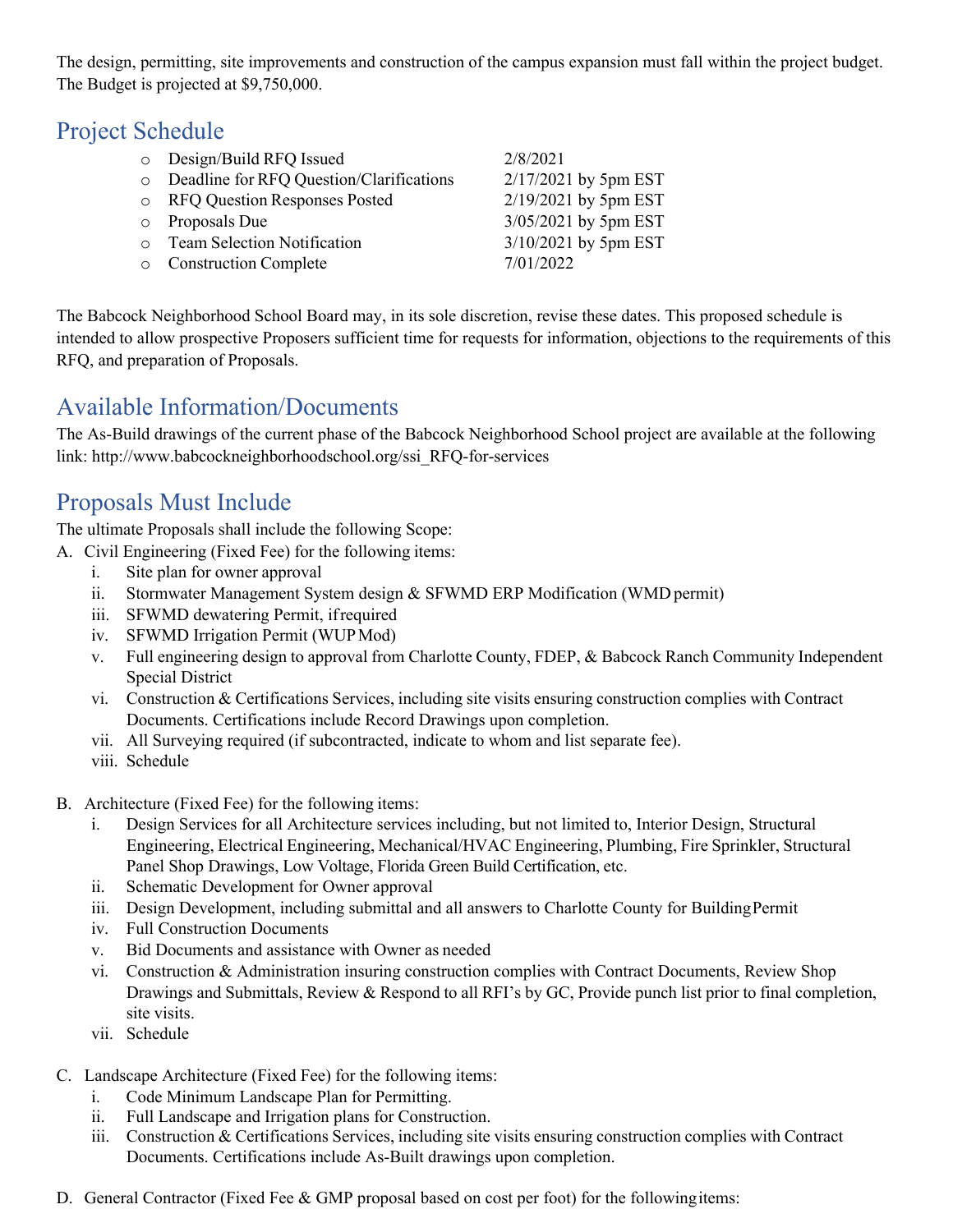The design, permitting, site improvements and construction of the campus expansion must fall within the project budget. The Budget is projected at \$9,750,000.

# Project Schedule

|           | $\circ$ Design/Build RFQ Issued          | 2/8/2021               |
|-----------|------------------------------------------|------------------------|
| $\circ$   | Deadline for RFQ Question/Clarifications | $2/17/2021$ by 5pm EST |
|           | o RFQ Question Responses Posted          | 2/19/2021 by 5pm EST   |
| $\circ$   | Proposals Due                            | 3/05/2021 by 5pm EST   |
| $\bigcap$ | <b>Team Selection Notification</b>       | 3/10/2021 by 5pm EST   |
| $\circ$   | <b>Construction Complete</b>             | 7/01/2022              |
|           |                                          |                        |

The Babcock Neighborhood School Board may, in its sole discretion, revise these dates. This proposed schedule is intended to allow prospective Proposers sufficient time for requests for information, objections to the requirements of this RFQ, and preparation of Proposals.

## Available Information/Documents

The As-Build drawings of the current phase of the Babcock Neighborhood School project are available at the following link: http://www.babcockneighborhoodschool.org/ssi\_RFQ-for-services

# Proposals Must Include

The ultimate Proposals shall include the following Scope:

- A. Civil Engineering (Fixed Fee) for the following items:
	- i. Site plan for owner approval
	- ii. Stormwater Management System design & SFWMD ERP Modification (WMD permit)
	- iii. SFWMD dewatering Permit, ifrequired
	- iv. SFWMD Irrigation Permit (WUPMod)
	- v. Full engineering design to approval from Charlotte County, FDEP, & Babcock Ranch Community Independent Special District
	- vi. Construction & Certifications Services, including site visits ensuring construction complies with Contract Documents. Certifications include Record Drawings upon completion.
	- vii. All Surveying required (if subcontracted, indicate to whom and list separate fee).
	- viii. Schedule
- B. Architecture (Fixed Fee) for the following items:
	- i. Design Services for all Architecture services including, but not limited to, Interior Design, Structural Engineering, Electrical Engineering, Mechanical/HVAC Engineering, Plumbing, Fire Sprinkler, Structural Panel Shop Drawings, Low Voltage, Florida Green Build Certification, etc.
	- ii. Schematic Development for Owner approval
	- iii. Design Development, including submittal and all answers to Charlotte County for BuildingPermit
	- iv. Full Construction Documents
	- v. Bid Documents and assistance with Owner as needed
	- vi. Construction & Administration insuring construction complies with Contract Documents, Review Shop Drawings and Submittals, Review & Respond to all RFI's by GC, Provide punch list prior to final completion, site visits.
	- vii. Schedule
- C. Landscape Architecture (Fixed Fee) for the following items:
	- i. Code Minimum Landscape Plan for Permitting.
	- ii. Full Landscape and Irrigation plans for Construction.
	- iii. Construction & Certifications Services, including site visits ensuring construction complies with Contract Documents. Certifications include As-Built drawings upon completion.
- D. General Contractor (Fixed Fee & GMP proposal based on cost per foot) for the following items: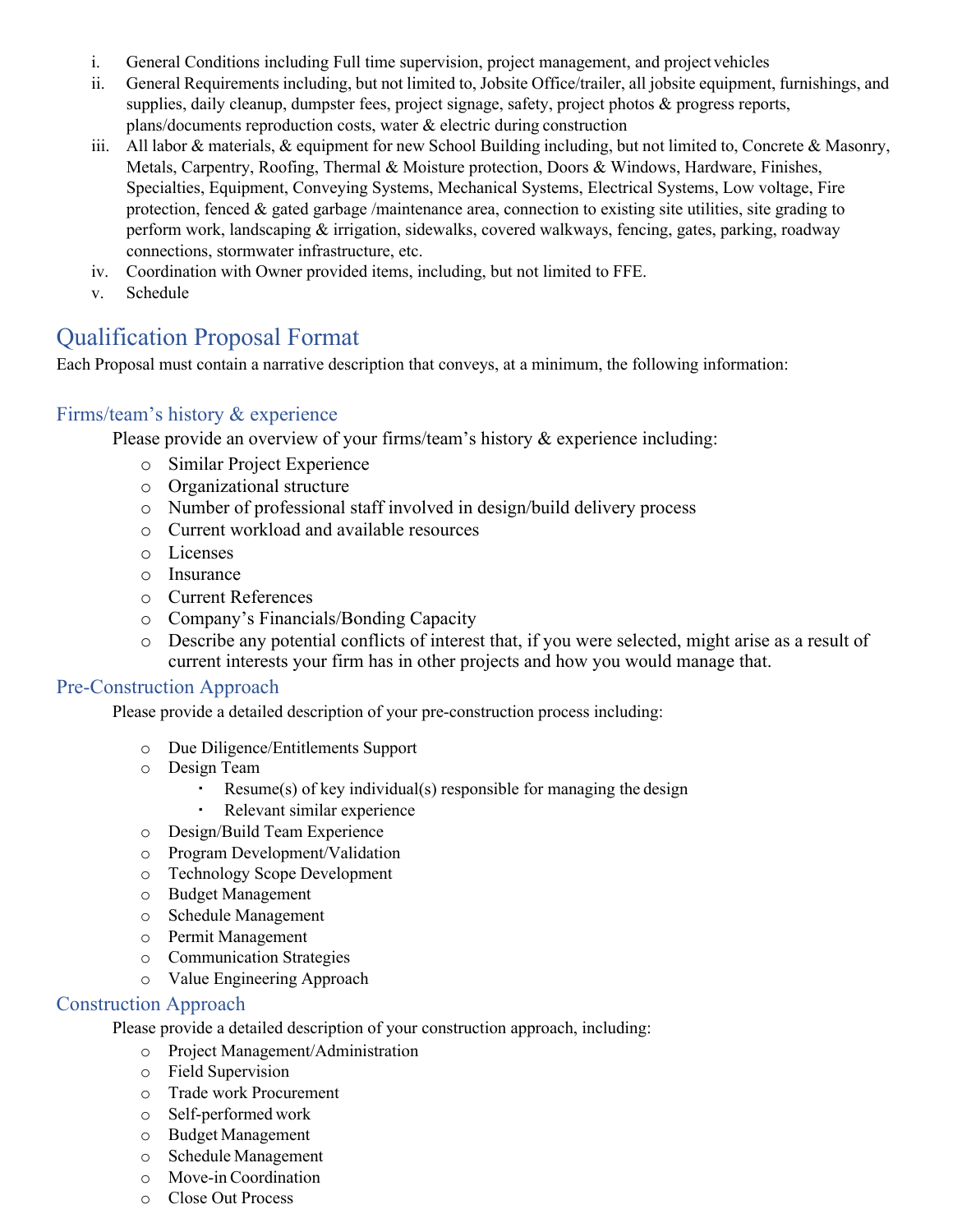- i. General Conditions including Full time supervision, project management, and project vehicles
- ii. General Requirements including, but not limited to, Jobsite Office/trailer, all jobsite equipment, furnishings, and supplies, daily cleanup, dumpster fees, project signage, safety, project photos & progress reports, plans/documents reproduction costs, water & electric during construction
- iii. All labor & materials, & equipment for new School Building including, but not limited to, Concrete & Masonry, Metals, Carpentry, Roofing, Thermal & Moisture protection, Doors & Windows, Hardware, Finishes, Specialties, Equipment, Conveying Systems, Mechanical Systems, Electrical Systems, Low voltage, Fire protection, fenced  $\&$  gated garbage /maintenance area, connection to existing site utilities, site grading to perform work, landscaping & irrigation, sidewalks, covered walkways, fencing, gates, parking, roadway connections, stormwater infrastructure, etc.
- iv. Coordination with Owner provided items, including, but not limited to FFE.
- v. Schedule

## Qualification Proposal Format

Each Proposal must contain a narrative description that conveys, at a minimum, the following information:

#### Firms/team's history & experience

Please provide an overview of your firms/team's history & experience including:

- o Similar Project Experience
- o Organizational structure
- o Number of professional staff involved in design/build delivery process
- o Current workload and available resources
- o Licenses
- o Insurance
- o Current References
- o Company's Financials/Bonding Capacity
- o Describe any potential conflicts of interest that, if you were selected, might arise as a result of current interests your firm has in other projects and how you would manage that.

#### Pre-Construction Approach

Please provide a detailed description of your pre-construction process including:

- o Due Diligence/Entitlements Support
- o Design Team
	- $Resume(s)$  of key individual(s) responsible for managing the design
	- Relevant similar experience
- o Design/Build Team Experience
- o Program Development/Validation
- o Technology Scope Development
- o Budget Management
- o Schedule Management
- o Permit Management
- o Communication Strategies
- o Value Engineering Approach

#### Construction Approach

Please provide a detailed description of your construction approach, including:

- o Project Management/Administration
- o Field Supervision
- o Trade work Procurement
- o Self-performed work
- o Budget Management
- o Schedule Management
- o Move-inCoordination
- o Close Out Process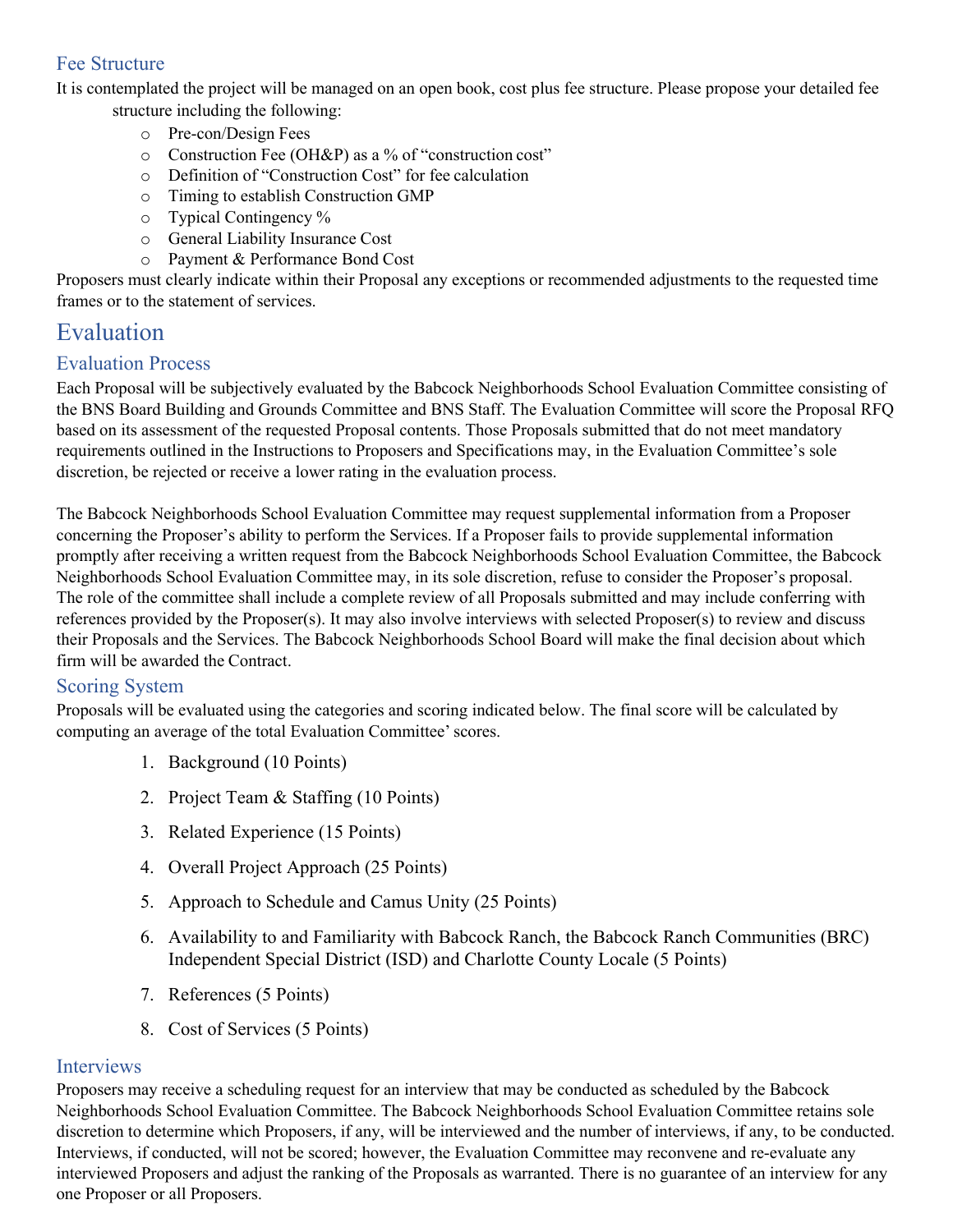### Fee Structure

It is contemplated the project will be managed on an open book, cost plus fee structure. Please propose your detailed fee structure including the following:

- o Pre-con/Design Fees
- o Construction Fee (OH&P) as a % of "construction cost"
- o Definition of "Construction Cost" for fee calculation
- o Timing to establish Construction GMP
- o Typical Contingency %
- o General Liability Insurance Cost
- o Payment & Performance Bond Cost

Proposers must clearly indicate within their Proposal any exceptions or recommended adjustments to the requested time frames or to the statement of services.

## Evaluation

#### Evaluation Process

Each Proposal will be subjectively evaluated by the Babcock Neighborhoods School Evaluation Committee consisting of the BNS Board Building and Grounds Committee and BNS Staff. The Evaluation Committee will score the Proposal RFQ based on its assessment of the requested Proposal contents. Those Proposals submitted that do not meet mandatory requirements outlined in the Instructions to Proposers and Specifications may, in the Evaluation Committee's sole discretion, be rejected or receive a lower rating in the evaluation process.

The Babcock Neighborhoods School Evaluation Committee may request supplemental information from a Proposer concerning the Proposer's ability to perform the Services. If a Proposer fails to provide supplemental information promptly after receiving a written request from the Babcock Neighborhoods School Evaluation Committee, the Babcock Neighborhoods School Evaluation Committee may, in its sole discretion, refuse to consider the Proposer's proposal. The role of the committee shall include a complete review of all Proposals submitted and may include conferring with references provided by the Proposer(s). It may also involve interviews with selected Proposer(s) to review and discuss their Proposals and the Services. The Babcock Neighborhoods School Board will make the final decision about which firm will be awarded the Contract.

#### Scoring System

Proposals will be evaluated using the categories and scoring indicated below. The final score will be calculated by computing an average of the total Evaluation Committee'scores.

- 1. Background (10 Points)
- 2. Project Team & Staffing (10 Points)
- 3. Related Experience (15 Points)
- 4. Overall Project Approach (25 Points)
- 5. Approach to Schedule and Camus Unity (25 Points)
- 6. Availability to and Familiarity with Babcock Ranch, the Babcock Ranch Communities (BRC) Independent Special District (ISD) and Charlotte County Locale (5 Points)
- 7. References (5 Points)
- 8. Cost of Services (5 Points)

#### Interviews

Proposers may receive a scheduling request for an interview that may be conducted as scheduled by the Babcock Neighborhoods School Evaluation Committee. The Babcock Neighborhoods School Evaluation Committee retains sole discretion to determine which Proposers, if any, will be interviewed and the number of interviews, if any, to be conducted. Interviews, if conducted, will not be scored; however, the Evaluation Committee may reconvene and re-evaluate any interviewed Proposers and adjust the ranking of the Proposals as warranted. There is no guarantee of an interview for any one Proposer or all Proposers.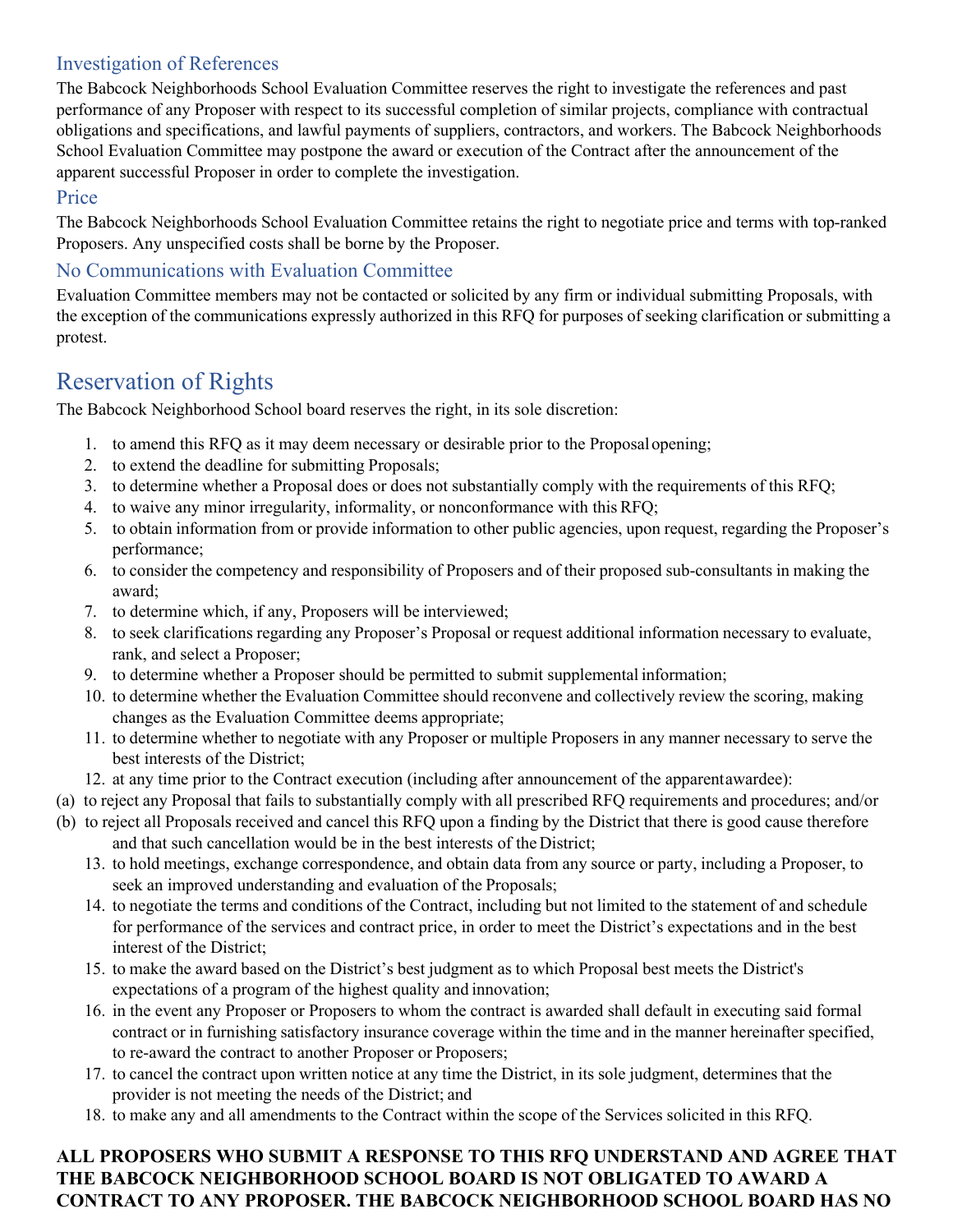## Investigation of References

The Babcock Neighborhoods School Evaluation Committee reserves the right to investigate the references and past performance of any Proposer with respect to its successful completion of similar projects, compliance with contractual obligations and specifications, and lawful payments of suppliers, contractors, and workers. The Babcock Neighborhoods School Evaluation Committee may postpone the award or execution of the Contract after the announcement of the apparent successful Proposer in order to complete the investigation.

## Price

The Babcock Neighborhoods School Evaluation Committee retains the right to negotiate price and terms with top-ranked Proposers. Any unspecified costs shall be borne by the Proposer.

## No Communications with Evaluation Committee

Evaluation Committee members may not be contacted or solicited by any firm or individual submitting Proposals, with the exception of the communications expressly authorized in this RFQ for purposes of seeking clarification or submitting a protest.

## Reservation of Rights

The Babcock Neighborhood School board reserves the right, in its sole discretion:

- 1. to amend this RFQ as it may deem necessary or desirable prior to the Proposalopening;
- 2. to extend the deadline for submitting Proposals;
- 3. to determine whether a Proposal does or does not substantially comply with the requirements of this RFQ;
- 4. to waive any minor irregularity, informality, or nonconformance with this RFQ;
- 5. to obtain information from or provide information to other public agencies, upon request, regarding the Proposer's performance;
- 6. to consider the competency and responsibility of Proposers and of their proposed sub-consultants in making the award;
- 7. to determine which, if any, Proposers will be interviewed;
- 8. to seek clarifications regarding any Proposer's Proposal or request additional information necessary to evaluate, rank, and select a Proposer;
- 9. to determine whether a Proposer should be permitted to submit supplemental information;
- 10. to determine whether the Evaluation Committee should reconvene and collectively review the scoring, making changes as the Evaluation Committee deems appropriate;
- 11. to determine whether to negotiate with any Proposer or multiple Proposers in any manner necessary to serve the best interests of the District;
- 12. at any time prior to the Contract execution (including after announcement of the apparentawardee):
- (a) to reject any Proposal that fails to substantially comply with all prescribed RFQ requirements and procedures; and/or
- (b) to reject all Proposals received and cancel this RFQ upon a finding by the District that there is good cause therefore and that such cancellation would be in the best interests of the District;
	- 13. to hold meetings, exchange correspondence, and obtain data from any source or party, including a Proposer, to seek an improved understanding and evaluation of the Proposals;
	- 14. to negotiate the terms and conditions of the Contract, including but not limited to the statement of and schedule for performance of the services and contract price, in order to meet the District's expectations and in the best interest of the District;
	- 15. to make the award based on the District's best judgment as to which Proposal best meets the District's expectations of a program of the highest quality and innovation;
	- 16. in the event any Proposer or Proposers to whom the contract is awarded shall default in executing said formal contract or in furnishing satisfactory insurance coverage within the time and in the manner hereinafter specified, to re-award the contract to another Proposer or Proposers;
	- 17. to cancel the contract upon written notice at any time the District, in its sole judgment, determines that the provider is not meeting the needs of the District; and
	- 18. to make any and all amendments to the Contract within the scope of the Services solicited in this RFQ.

### **ALL PROPOSERS WHO SUBMIT A RESPONSE TO THIS RFQ UNDERSTAND AND AGREE THAT THE BABCOCK NEIGHBORHOOD SCHOOL BOARD IS NOT OBLIGATED TO AWARD A CONTRACT TO ANY PROPOSER. THE BABCOCK NEIGHBORHOOD SCHOOL BOARD HAS NO**